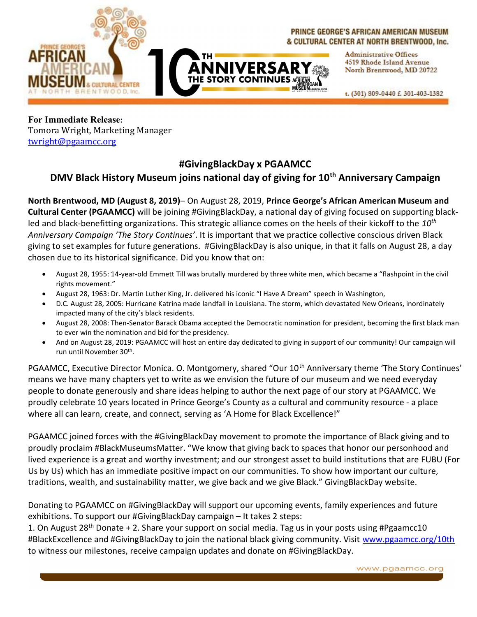

## PRINCE GEORGE'S AFRICAN AMERICAN MUSEUM & CULTURAL CENTER AT NORTH BRENTWOOD, Inc.

**Administrative Offices** 4519 Rhode Island Avenue **ANNIVERSARY Example 19 North Brentwood, MD 20722** 

t. (301) 809-0440 f. 301-403-1382

For Immediate Release: Tomora Wright, Marketing Manager twright@pgaamcc.org

## #GivingBlackDay x PGAAMCC

## DMV Black History Museum joins national day of giving for  $10<sup>th</sup>$  Anniversary Campaign

North Brentwood, MD (August 8, 2019)– On August 28, 2019, Prince George's African American Museum and Cultural Center (PGAAMCC) will be joining #GivingBlackDay, a national day of giving focused on supporting blackled and black-benefitting organizations. This strategic alliance comes on the heels of their kickoff to the  $10^{th}$ Anniversary Campaign 'The Story Continues'. It is important that we practice collective conscious driven Black giving to set examples for future generations. #GivingBlackDay is also unique, in that it falls on August 28, a day chosen due to its historical significance. Did you know that on:

- August 28, 1955: 14-year-old Emmett Till was brutally murdered by three white men, which became a "flashpoint in the civil rights movement."
- August 28, 1963: Dr. Martin Luther King, Jr. delivered his iconic "I Have A Dream" speech in Washington,
- D.C. August 28, 2005: Hurricane Katrina made landfall in Louisiana. The storm, which devastated New Orleans, inordinately impacted many of the city's black residents.
- August 28, 2008: Then-Senator Barack Obama accepted the Democratic nomination for president, becoming the first black man to ever win the nomination and bid for the presidency.
- And on August 28, 2019: PGAAMCC will host an entire day dedicated to giving in support of our community! Our campaign will run until November 30<sup>th</sup>.

PGAAMCC, Executive Director Monica. O. Montgomery, shared "Our 10<sup>th</sup> Anniversary theme 'The Story Continues' means we have many chapters yet to write as we envision the future of our museum and we need everyday people to donate generously and share ideas helping to author the next page of our story at PGAAMCC. We proudly celebrate 10 years located in Prince George's County as a cultural and community resource - a place where all can learn, create, and connect, serving as 'A Home for Black Excellence!"

PGAAMCC joined forces with the #GivingBlackDay movement to promote the importance of Black giving and to proudly proclaim #BlackMuseumsMatter. "We know that giving back to spaces that honor our personhood and lived experience is a great and worthy investment; and our strongest asset to build institutions that are FUBU (For Us by Us) which has an immediate positive impact on our communities. To show how important our culture, traditions, wealth, and sustainability matter, we give back and we give Black." GivingBlackDay website.

Donating to PGAAMCC on #GivingBlackDay will support our upcoming events, family experiences and future exhibitions. To support our #GivingBlackDay campaign – It takes 2 steps:

1. On August 28<sup>th</sup> Donate + 2. Share your support on social media. Tag us in your posts using #Pgaamcc10 #BlackExcellence and #GivingBlackDay to join the national black giving community. Visit www.pgaamcc.org/10th to witness our milestones, receive campaign updates and donate on #GivingBlackDay.